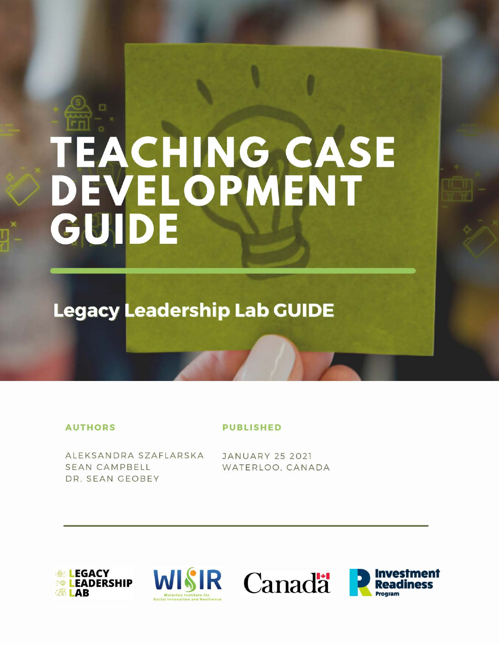# TEACHING CASE<br>DEVELOPMENT<br>GUIDE

**Legacy Leadership Lab GUIDE** 

# **AUTHORS**

# **PUBLISHED**

ALEKSANDRA SZAFLARSKA **SEAN CAMPBELL** DR. SEAN GEOBEY

**JANUARY 25 2021** WATERLOO, CANADA







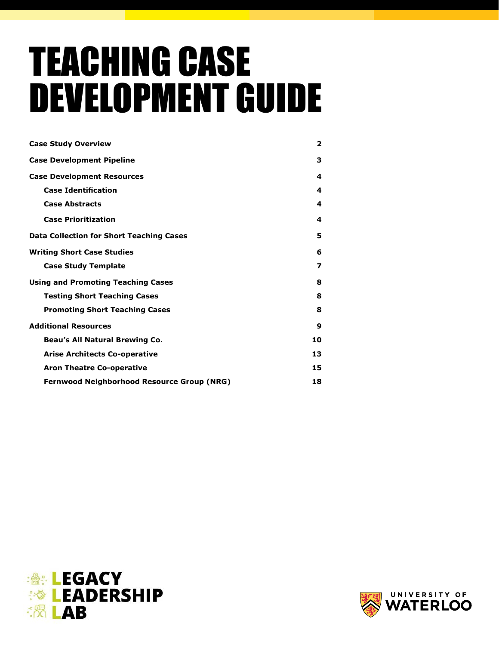# TEACHING CASE DEVELOPMENT GUIDE

| <b>Case Study Overview</b>                        | $\overline{\mathbf{2}}$ |
|---------------------------------------------------|-------------------------|
| <b>Case Development Pipeline</b>                  | 3                       |
| <b>Case Development Resources</b>                 | 4                       |
| <b>Case Identification</b>                        | 4                       |
| <b>Case Abstracts</b>                             | 4                       |
| <b>Case Prioritization</b>                        | 4                       |
| <b>Data Collection for Short Teaching Cases</b>   | 5                       |
| <b>Writing Short Case Studies</b>                 | 6                       |
| <b>Case Study Template</b>                        | 7                       |
| <b>Using and Promoting Teaching Cases</b>         | 8                       |
| <b>Testing Short Teaching Cases</b>               | 8                       |
| <b>Promoting Short Teaching Cases</b>             | 8                       |
| <b>Additional Resources</b>                       | 9                       |
| Beau's All Natural Brewing Co.                    | 10                      |
| <b>Arise Architects Co-operative</b>              | 13                      |
| <b>Aron Theatre Co-operative</b>                  | 15                      |
| <b>Fernwood Neighborhood Resource Group (NRG)</b> | 18                      |



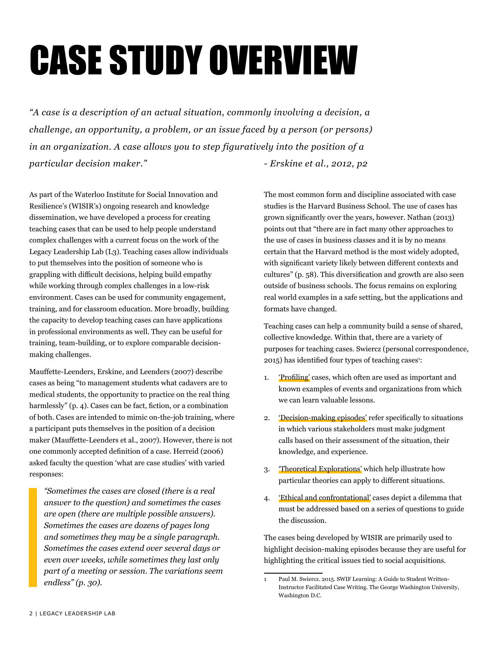# CASE STUDY OVERVIEW

*"A case is a description of an actual situation, commonly involving a decision, a challenge, an opportunity, a problem, or an issue faced by a person (or persons) in an organization. A case allows you to step figuratively into the position of a particular decision maker.*"  $\qquad \qquad - Erskine et al., 2012, p2$ 

As part of the Waterloo Institute for Social Innovation and Resilience's (WISIR's) ongoing research and knowledge dissemination, we have developed a process for creating teaching cases that can be used to help people understand complex challenges with a current focus on the work of the Legacy Leadership Lab (L3). Teaching cases allow individuals to put themselves into the position of someone who is grappling with difficult decisions, helping build empathy while working through complex challenges in a low-risk environment. Cases can be used for community engagement, training, and for classroom education. More broadly, building the capacity to develop teaching cases can have applications in professional environments as well. They can be useful for training, team-building, or to explore comparable decisionmaking challenges.

Mauffette-Leenders, Erskine, and Leenders (2007) describe cases as being "to management students what cadavers are to medical students, the opportunity to practice on the real thing harmlessly" (p. 4). Cases can be fact, fiction, or a combination of both. Cases are intended to mimic on-the-job training, where a participant puts themselves in the position of a decision maker (Mauffette-Leenders et al., 2007). However, there is not one commonly accepted definition of a case. Herreid (2006) asked faculty the question 'what are case studies' with varied responses:

*"Sometimes the cases are closed (there is a real answer to the question) and sometimes the cases are open (there are multiple possible answers). Sometimes the cases are dozens of pages long and sometimes they may be a single paragraph. Sometimes the cases extend over several days or even over weeks, while sometimes they last only part of a meeting or session. The variations seem endless" (p. 30).* 

The most common form and discipline associated with case studies is the Harvard Business School. The use of cases has grown significantly over the years, however. Nathan (2013) points out that "there are in fact many other approaches to the use of cases in business classes and it is by no means certain that the Harvard method is the most widely adopted, with significant variety likely between different contexts and cultures" (p. 58). This diversification and growth are also seen outside of business schools. The focus remains on exploring real world examples in a safe setting, but the applications and formats have changed.

Teaching cases can help a community build a sense of shared, collective knowledge. Within that, there are a variety of purposes for teaching cases. Swiercz (personal correspondence, 2015) has identified four types of teaching cases<sup>1</sup>:

- 1. 'Profiling' cases, which often are used as important and known examples of events and organizations from which we can learn valuable lessons.
- 2. 'Decision-making episodes' refer specifically to situations in which various stakeholders must make judgment calls based on their assessment of the situation, their knowledge, and experience.
- 3. 'Theoretical Explorations' which help illustrate how particular theories can apply to different situations.
- 4. 'Ethical and confrontational' cases depict a dilemma that must be addressed based on a series of questions to guide the discussion.

The cases being developed by WISIR are primarily used to highlight decision-making episodes because they are useful for highlighting the critical issues tied to social acquisitions.

<sup>1</sup> Paul M. Swiercz. 2015. SWIF Learning: A Guide to Student Written-Instructor Facilitated Case Writing. The George Washington University, Washington D.C.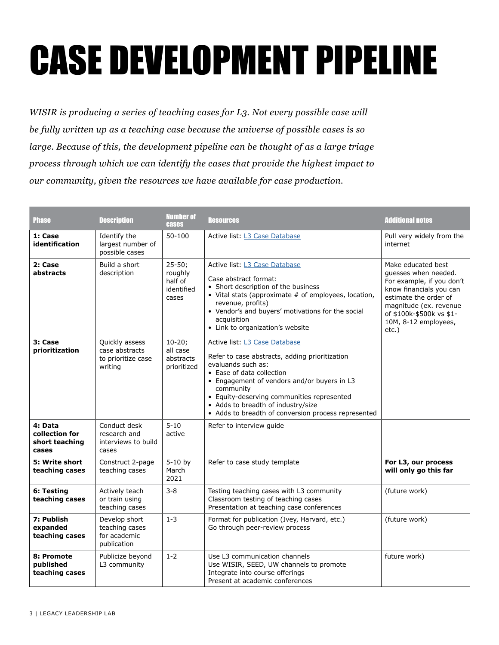# CASE DEVELOPMENT PIPELINE

*WISIR is producing a series of teaching cases for L3. Not every possible case will be fully written up as a teaching case because the universe of possible cases is so large. Because of this, the development pipeline can be thought of as a large triage process through which we can identify the cases that provide the highest impact to our community, given the resources we have available for case production.*

| Phase                                                | <b>Description</b>                                                | <b>Number of</b><br><b>cases</b>                        | <b>Resources</b>                                                                                                                                                                                                                                                                                                                          | <b>Additional notes</b>                                                                                                                                                                                            |
|------------------------------------------------------|-------------------------------------------------------------------|---------------------------------------------------------|-------------------------------------------------------------------------------------------------------------------------------------------------------------------------------------------------------------------------------------------------------------------------------------------------------------------------------------------|--------------------------------------------------------------------------------------------------------------------------------------------------------------------------------------------------------------------|
| 1: Case<br>identification                            | Identify the<br>largest number of<br>possible cases               | 50-100                                                  | Active list: L3 Case Database                                                                                                                                                                                                                                                                                                             | Pull very widely from the<br>internet                                                                                                                                                                              |
| 2: Case<br>abstracts                                 | Build a short<br>description                                      | $25 - 50;$<br>roughly<br>half of<br>identified<br>cases | Active list: L3 Case Database<br>Case abstract format:<br>• Short description of the business<br>• Vital stats (approximate # of employees, location,<br>revenue, profits)<br>• Vendor's and buyers' motivations for the social<br>acquisition<br>• Link to organization's website                                                        | Make educated best<br>quesses when needed.<br>For example, if you don't<br>know financials you can<br>estimate the order of<br>magnitude (ex. revenue<br>of \$100k-\$500k vs \$1-<br>10M, 8-12 employees,<br>etc.) |
| 3: Case<br>prioritization                            | Quickly assess<br>case abstracts<br>to prioritize case<br>writing | $10-20;$<br>all case<br>abstracts<br>prioritized        | Active list: L3 Case Database<br>Refer to case abstracts, adding prioritization<br>evaluands such as:<br>• Ease of data collection<br>• Engagement of vendors and/or buyers in L3<br>community<br>• Equity-deserving communities represented<br>• Adds to breadth of industry/size<br>• Adds to breadth of conversion process represented |                                                                                                                                                                                                                    |
| 4: Data<br>collection for<br>short teaching<br>cases | Conduct desk<br>research and<br>interviews to build<br>cases      | $5 - 10$<br>active                                      | Refer to interview guide                                                                                                                                                                                                                                                                                                                  |                                                                                                                                                                                                                    |
| 5: Write short<br>teaching cases                     | Construct 2-page<br>teaching cases                                | $5-10$ by<br>March<br>2021                              | Refer to case study template                                                                                                                                                                                                                                                                                                              | For L3, our process<br>will only go this far                                                                                                                                                                       |
| 6: Testing<br>teaching cases                         | Actively teach<br>or train using<br>teaching cases                | $3 - 8$                                                 | Testing teaching cases with L3 community<br>Classroom testing of teaching cases<br>Presentation at teaching case conferences                                                                                                                                                                                                              | (future work)                                                                                                                                                                                                      |
| 7: Publish<br>expanded<br>teaching cases             | Develop short<br>teaching cases<br>for academic<br>publication    | $1 - 3$                                                 | Format for publication (Ivey, Harvard, etc.)<br>Go through peer-review process                                                                                                                                                                                                                                                            | (future work)                                                                                                                                                                                                      |
| 8: Promote<br>published<br>teaching cases            | Publicize beyond<br>L3 community                                  | $1 - 2$                                                 | Use L3 communication channels<br>Use WISIR, SEED, UW channels to promote<br>Integrate into course offerings<br>Present at academic conferences                                                                                                                                                                                            | future work)                                                                                                                                                                                                       |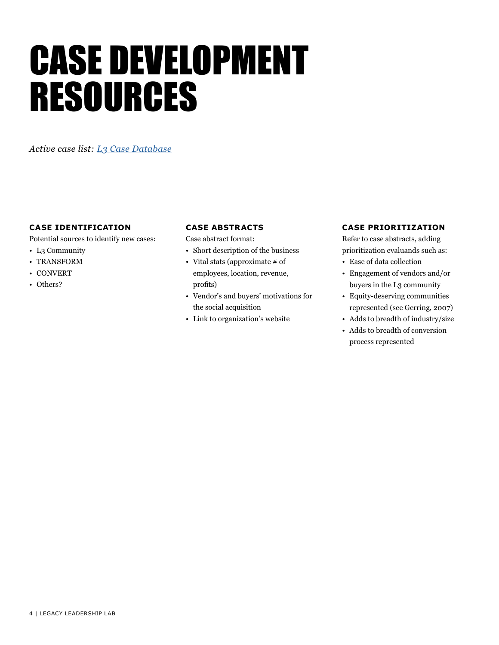# CASE DEVELOPMENT RESOURCES

*Active case list: [L3 Case Database](https://docs.google.com/spreadsheets/d/1O__5EOjd97-FmM1mMjysdkOLXClFsILY9lAkTUgYiTU/edit?usp=sharing)*

# **CASE IDENTIFICATION**

Potential sources to identify new cases:

- L3 Community
- TRANSFORM
- CONVERT
- Others?

# **CASE ABSTRACTS**

Case abstract format:

- Short description of the business
- Vital stats (approximate # of employees, location, revenue, profits)
- Vendor's and buyers' motivations for the social acquisition
- Link to organization's website

# **CASE PRIORITIZATION**

Refer to case abstracts, adding prioritization evaluands such as:

- Ease of data collection
- Engagement of vendors and/or buyers in the L3 community
- Equity-deserving communities represented (see Gerring, 2007)
- Adds to breadth of industry/size
- Adds to breadth of conversion process represented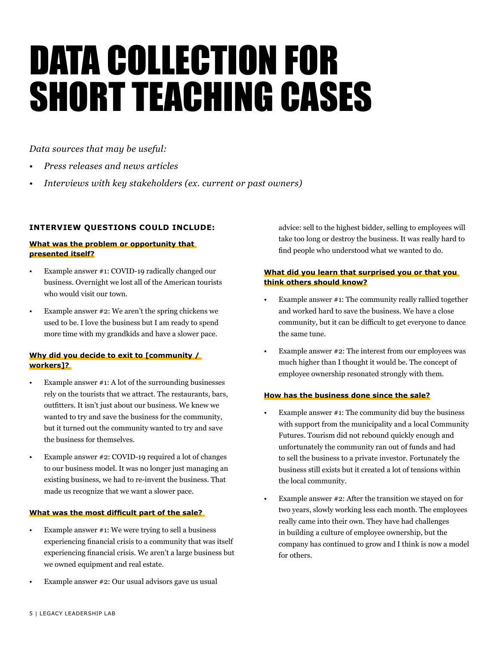# DATA COLLECTION FOR SHORT TEACHING CASES

*Data sources that may be useful:*

- *• Press releases and news articles*
- *• Interviews with key stakeholders (ex. current or past owners)*

# **INTERVIEW QUESTIONS COULD INCLUDE:**

# **What was the problem or opportunity that presented itself?**

- Example answer #1: COVID-19 radically changed our business. Overnight we lost all of the American tourists who would visit our town.
- Example answer #2: We aren't the spring chickens we used to be. I love the business but I am ready to spend more time with my grandkids and have a slower pace.

# **Why did you decide to exit to [community / workers]?**

- Example answer  $#1$ : A lot of the surrounding businesses rely on the tourists that we attract. The restaurants, bars, outfitters. It isn't just about our business. We knew we wanted to try and save the business for the community, but it turned out the community wanted to try and save the business for themselves.
- Example answer #2: COVID-19 required a lot of changes to our business model. It was no longer just managing an existing business, we had to re-invent the business. That made us recognize that we want a slower pace.

# **What was the most difficult part of the sale?**

- Example answer  $#1$ : We were trying to sell a business experiencing financial crisis to a community that was itself experiencing financial crisis. We aren't a large business but we owned equipment and real estate.
- Example answer #2: Our usual advisors gave us usual

advice: sell to the highest bidder, selling to employees will take too long or destroy the business. It was really hard to find people who understood what we wanted to do.

# **What did you learn that surprised you or that you think others should know?**

- Example answer #1: The community really rallied together and worked hard to save the business. We have a close community, but it can be difficult to get everyone to dance the same tune.
- Example answer #2: The interest from our employees was much higher than I thought it would be. The concept of employee ownership resonated strongly with them.

# **How has the business done since the sale?**

- Example answer  $#1$ : The community did buy the business with support from the municipality and a local Community Futures. Tourism did not rebound quickly enough and unfortunately the community ran out of funds and had to sell the business to a private investor. Fortunately the business still exists but it created a lot of tensions within the local community.
- Example answer  $#2$ : After the transition we stayed on for two years, slowly working less each month. The employees really came into their own. They have had challenges in building a culture of employee ownership, but the company has continued to grow and I think is now a model for others.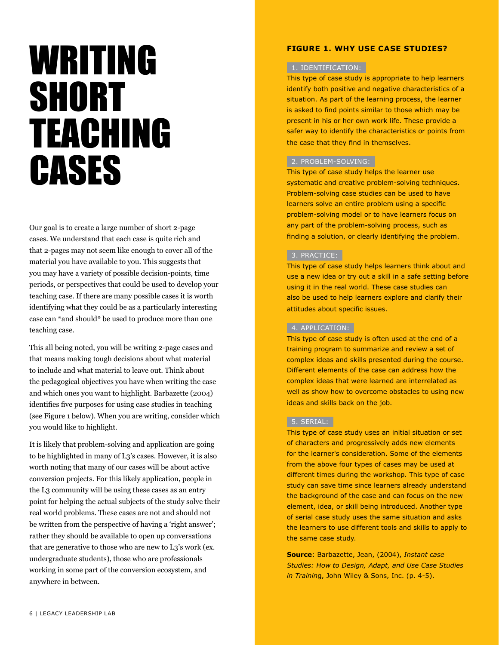# WRITING **SHORT** TEACHING **CASES**

Our goal is to create a large number of short 2-page cases. We understand that each case is quite rich and that 2-pages may not seem like enough to cover all of the material you have available to you. This suggests that you may have a variety of possible decision-points, time periods, or perspectives that could be used to develop your teaching case. If there are many possible cases it is worth identifying what they could be as a particularly interesting case can \*and should\* be used to produce more than one teaching case.

This all being noted, you will be writing 2-page cases and that means making tough decisions about what material to include and what material to leave out. Think about the pedagogical objectives you have when writing the case and which ones you want to highlight. Barbazette (2004) identifies five purposes for using case studies in teaching (see Figure 1 below). When you are writing, consider which you would like to highlight.

It is likely that problem-solving and application are going to be highlighted in many of L3's cases. However, it is also worth noting that many of our cases will be about active conversion projects. For this likely application, people in the L3 community will be using these cases as an entry point for helping the actual subjects of the study solve their real world problems. These cases are not and should not be written from the perspective of having a 'right answer'; rather they should be available to open up conversations that are generative to those who are new to L3's work (ex. undergraduate students), those who are professionals working in some part of the conversion ecosystem, and anywhere in between.

# **FIGURE 1. WHY USE CASE STUDIES?**

# 1. IDENTIFICATION:

This type of case study is appropriate to help learners identify both positive and negative characteristics of a situation. As part of the learning process, the learner is asked to find points similar to those which may be present in his or her own work life. These provide a safer way to identify the characteristics or points from the case that they find in themselves.

# 2. PROBLEM-SOLVING:

This type of case study helps the learner use systematic and creative problem-solving techniques. Problem-solving case studies can be used to have learners solve an entire problem using a specific problem-solving model or to have learners focus on any part of the problem-solving process, such as finding a solution, or clearly identifying the problem.

# 3. PRACTICE:

This type of case study helps learners think about and use a new idea or try out a skill in a safe setting before using it in the real world. These case studies can also be used to help learners explore and clarify their attitudes about specific issues.

# 4. APPLICATION:

This type of case study is often used at the end of a training program to summarize and review a set of complex ideas and skills presented during the course. Different elements of the case can address how the complex ideas that were learned are interrelated as well as show how to overcome obstacles to using new ideas and skills back on the job.

# 5. SERIAL:

This type of case study uses an initial situation or set of characters and progressively adds new elements for the learner's consideration. Some of the elements from the above four types of cases may be used at different times during the workshop. This type of case study can save time since learners already understand the background of the case and can focus on the new element, idea, or skill being introduced. Another type of serial case study uses the same situation and asks the learners to use different tools and skills to apply to the same case study.

**Source**: Barbazette, Jean, (2004), *Instant case Studies: How to Design, Adapt, and Use Case Studies in Trainin*g, John Wiley & Sons, Inc. (p. 4-5).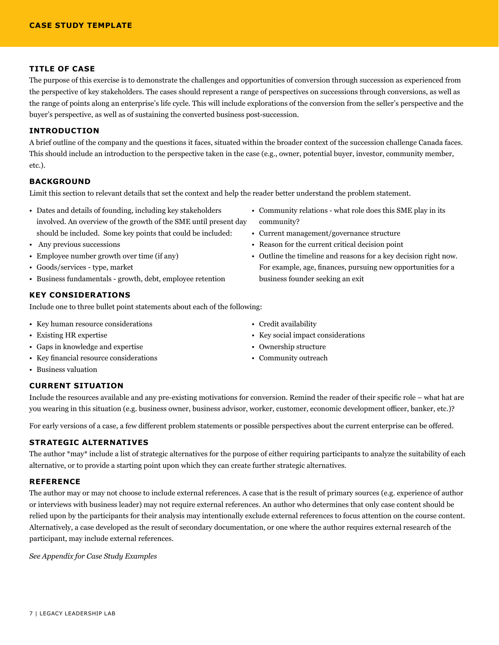### **TITLE OF CASE**

The purpose of this exercise is to demonstrate the challenges and opportunities of conversion through succession as experienced from the perspective of key stakeholders. The cases should represent a range of perspectives on successions through conversions, as well as the range of points along an enterprise's life cycle. This will include explorations of the conversion from the seller's perspective and the buyer's perspective, as well as of sustaining the converted business post-succession.

### **INTRODUCTION**

A brief outline of the company and the questions it faces, situated within the broader context of the succession challenge Canada faces. This should include an introduction to the perspective taken in the case (e.g., owner, potential buyer, investor, community member, etc.).

# **BACKGROUND**

Limit this section to relevant details that set the context and help the reader better understand the problem statement.

- Dates and details of founding, including key stakeholders involved. An overview of the growth of the SME until present day should be included. Some key points that could be included:
- Any previous successions
- Employee number growth over time (if any)
- Goods/services type, market
- Business fundamentals growth, debt, employee retention

# **KEY CONSIDERATIONS**

Include one to three bullet point statements about each of the following:

- Key human resource considerations
- Existing HR expertise
- Gaps in knowledge and expertise
- Key financial resource considerations
- Business valuation
- **CURRENT SITUATION**
- 
- Credit availability
- Key social impact considerations
- Ownership structure
- Community outreach

# Include the resources available and any pre-existing motivations for conversion. Remind the reader of their specific role – what hat are you wearing in this situation (e.g. business owner, business advisor, worker, customer, economic development officer, banker, etc.)?

For early versions of a case, a few different problem statements or possible perspectives about the current enterprise can be offered.

# **STRATEGIC ALTERNATIVES**

The author \*may\* include a list of strategic alternatives for the purpose of either requiring participants to analyze the suitability of each alternative, or to provide a starting point upon which they can create further strategic alternatives.

### **REFERENCE**

The author may or may not choose to include external references. A case that is the result of primary sources (e.g. experience of author or interviews with business leader) may not require external references. An author who determines that only case content should be relied upon by the participants for their analysis may intentionally exclude external references to focus attention on the course content. Alternatively, a case developed as the result of secondary documentation, or one where the author requires external research of the participant, may include external references.

*See Appendix for Case Study Examples*

- Community relations what role does this SME play in its community?
- Current management/governance structure
- Reason for the current critical decision point
- Outline the timeline and reasons for a key decision right now. For example, age, finances, pursuing new opportunities for a business founder seeking an exit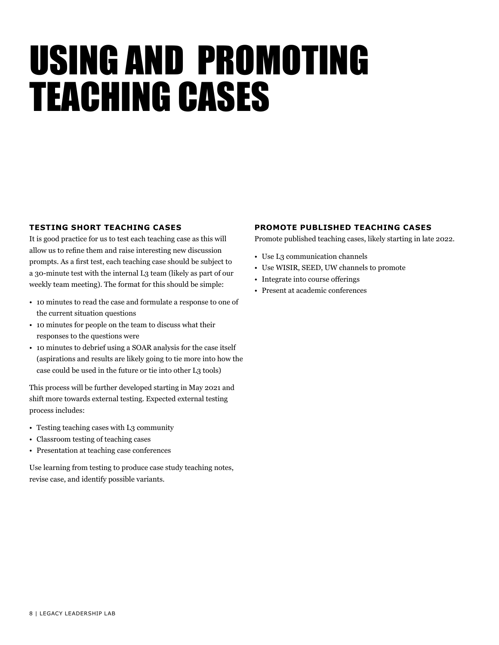# USING AND PROMOTING TEACHING CASES

# **TESTING SHORT TEACHING CASES**

It is good practice for us to test each teaching case as this will allow us to refine them and raise interesting new discussion prompts. As a first test, each teaching case should be subject to a 30-minute test with the internal L3 team (likely as part of our weekly team meeting). The format for this should be simple:

- 10 minutes to read the case and formulate a response to one of the current situation questions
- 10 minutes for people on the team to discuss what their responses to the questions were
- 10 minutes to debrief using a SOAR analysis for the case itself (aspirations and results are likely going to tie more into how the case could be used in the future or tie into other L3 tools)

This process will be further developed starting in May 2021 and shift more towards external testing. Expected external testing process includes:

- Testing teaching cases with L3 community
- Classroom testing of teaching cases
- Presentation at teaching case conferences

Use learning from testing to produce case study teaching notes, revise case, and identify possible variants.

# **PROMOTE PUBLISHED TEACHING CASES**

Promote published teaching cases, likely starting in late 2022.

- Use L3 communication channels
- Use WISIR, SEED, UW channels to promote
- Integrate into course offerings
- Present at academic conferences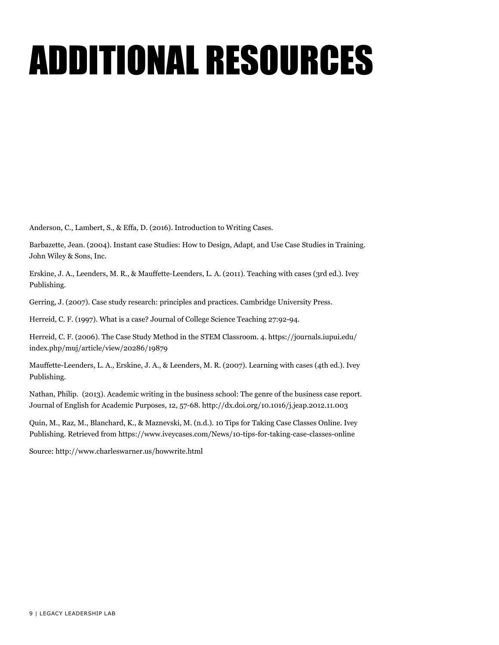# ADDITIONAL RESOURCES

Anderson, C., Lambert, S., & Effa, D. (2016). Introduction to Writing Cases.

Barbazette, Jean. (2004). Instant case Studies: How to Design, Adapt, and Use Case Studies in Training. John Wiley & Sons, Inc.

Erskine, J. A., Leenders, M. R., & Mauffette-Leenders, L. A. (2011). Teaching with cases (3rd ed.). Ivey Publishing.

Gerring, J. (2007). Case study research: principles and practices. Cambridge University Press.

Herreid, C. F. (1997). What is a case? Journal of College Science Teaching 27:92-94.

Herreid, C. F. (2006). The Case Study Method in the STEM Classroom. 4. https://journals.iupui.edu/ index.php/muj/article/view/20286/19879

Mauffette-Leenders, L. A., Erskine, J. A., & Leenders, M. R. (2007). Learning with cases (4th ed.). Ivey Publishing.

Nathan, Philip. (2013). Academic writing in the business school: The genre of the business case report. Journal of English for Academic Purposes, 12, 57-68. http://dx.doi.org/10.1016/j.jeap.2012.11.003

Quin, M., Raz, M., Blanchard, K., & Maznevski, M. (n.d.). 10 Tips for Taking Case Classes Online. Ivey Publishing. Retrieved from https://www.iveycases.com/News/10-tips-for-taking-case-classes-online

Source: http://www.charleswarner.us/howwrite.html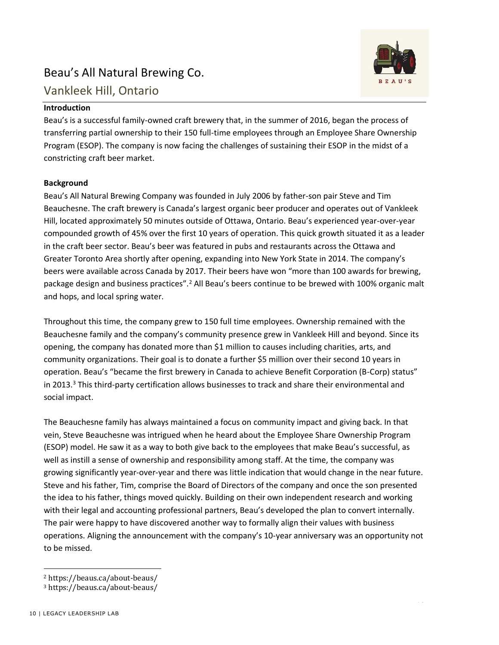# Beau's All Natural Brewing Co.



# **Introduction**

Beau's is a successful family-owned craft brewery that, in the summer of 2016, began the process of transferring partial ownership to their 150 full-time employees through an Employee Share Ownership Program (ESOP). The company is now facing the challenges of sustaining their ESOP in the midst of a constricting craft beer market.

# **Background**

Beau's All Natural Brewing Company was founded in July 2006 by father-son pair Steve and Tim Beauchesne. The craft brewery is Canada's largest organic beer producer and operates out of Vankleek Hill, located approximately 50 minutes outside of Ottawa, Ontario. Beau's experienced year-over-year compounded growth of 45% over the first 10 years of operation. This quick growth situated it as a leader in the craft beer sector. Beau's beer was featured in pubs and restaurants across the Ottawa and Greater Toronto Area shortly after opening, expanding into New York State in 2014. The company's beers were available across Canada by 2017. Their beers have won "more than 100 awards for brewing, package design and business practices".<sup>2</sup> All Beau's beers continue to be brewed with 100% organic malt and hops, and local spring water.

Throughout this time, the company grew to 150 full time employees. Ownership remained with the Beauchesne family and the company's community presence grew in Vankleek Hill and beyond. Since its opening, the company has donated more than \$1 million to causes including charities, arts, and community organizations. Their goal is to donate a further \$5 million over their second 10 years in operation. Beau's "became the first brewery in Canada to achieve Benefit Corporation (B-Corp) status" in 2013.<sup>3</sup> This third-party certification allows businesses to track and share their environmental and social impact.

The Beauchesne family has always maintained a focus on community impact and giving back. In that vein, Steve Beauchesne was intrigued when he heard about the Employee Share Ownership Program (ESOP) model. He saw it as a way to both give back to the employees that make Beau's successful, as well as instill a sense of ownership and responsibility among staff. At the time, the company was growing significantly year-over-year and there was little indication that would change in the near future. Steve and his father, Tim, comprise the Board of Directors of the company and once the son presented the idea to his father, things moved quickly. Building on their own independent research and working with their legal and accounting professional partners, Beau's developed the plan to convert internally. The pair were happy to have discovered another way to formally align their values with business operations. Aligning the announcement with the company's 10-year anniversary was an opportunity not to be missed.



<sup>&</sup>lt;sup>2</sup> https://beaus.ca/about-beaus/

<sup>&</sup>lt;sup>3</sup> https://beaus.ca/about-beaus/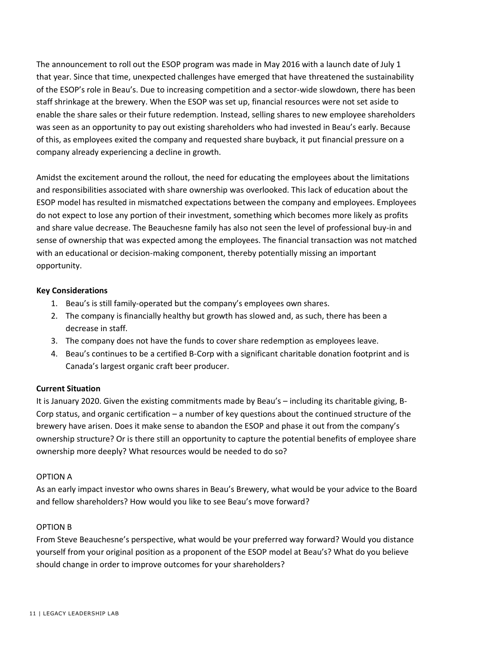The announcement to roll out the ESOP program was made in May 2016 with a launch date of July 1 that year. Since that time, unexpected challenges have emerged that have threatened the sustainability of the ESOP's role in Beau's. Due to increasing competition and a sector-wide slowdown, there has been staff shrinkage at the brewery. When the ESOP was set up, financial resources were not set aside to enable the share sales or their future redemption. Instead, selling shares to new employee shareholders was seen as an opportunity to pay out existing shareholders who had invested in Beau's early. Because of this, as employees exited the company and requested share buyback, it put financial pressure on a company already experiencing a decline in growth.

Amidst the excitement around the rollout, the need for educating the employees about the limitations and responsibilities associated with share ownership was overlooked. This lack of education about the ESOP model has resulted in mismatched expectations between the company and employees. Employees do not expect to lose any portion of their investment, something which becomes more likely as profits and share value decrease. The Beauchesne family has also not seen the level of professional buy-in and sense of ownership that was expected among the employees. The financial transaction was not matched with an educational or decision-making component, thereby potentially missing an important opportunity.

# **Key Considerations**

- 1. Beau's is still family-operated but the company's employees own shares.
- 2. The company is financially healthy but growth has slowed and, as such, there has been a decrease in staff.
- 3. The company does not have the funds to cover share redemption as employees leave.
- 4. Beau's continues to be a certified B-Corp with a significant charitable donation footprint and is Canada's largest organic craft beer producer.

# **Current Situation**

It is January 2020. Given the existing commitments made by Beau's – including its charitable giving, B-Corp status, and organic certification – a number of key questions about the continued structure of the brewery have arisen. Does it make sense to abandon the ESOP and phase it out from the company's ownership structure? Or is there still an opportunity to capture the potential benefits of employee share ownership more deeply? What resources would be needed to do so?

# OPTION A

As an early impact investor who owns shares in Beau's Brewery, what would be your advice to the Board and fellow shareholders? How would you like to see Beau's move forward?

# OPTION B

From Steve Beauchesne's perspective, what would be your preferred way forward? Would you distance yourself from your original position as a proponent of the ESOP model at Beau's? What do you believe should change in order to improve outcomes for your shareholders?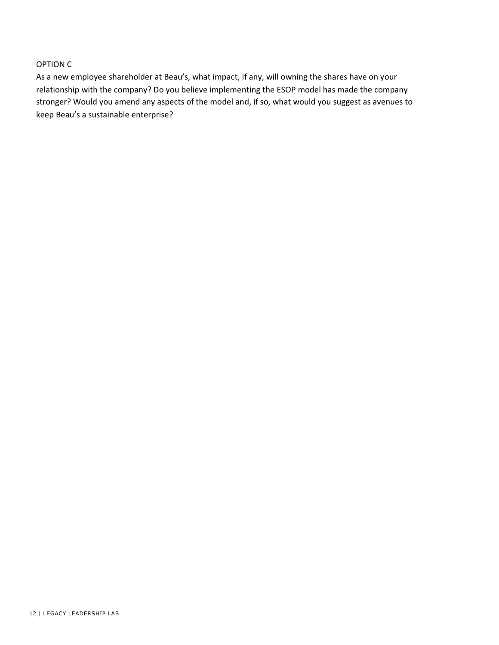# OPTION C

As a new employee shareholder at Beau's, what impact, if any, will owning the shares have on your relationship with the company? Do you believe implementing the ESOP model has made the company stronger? Would you amend any aspects of the model and, if so, what would you suggest as avenues to keep Beau's a sustainable enterprise?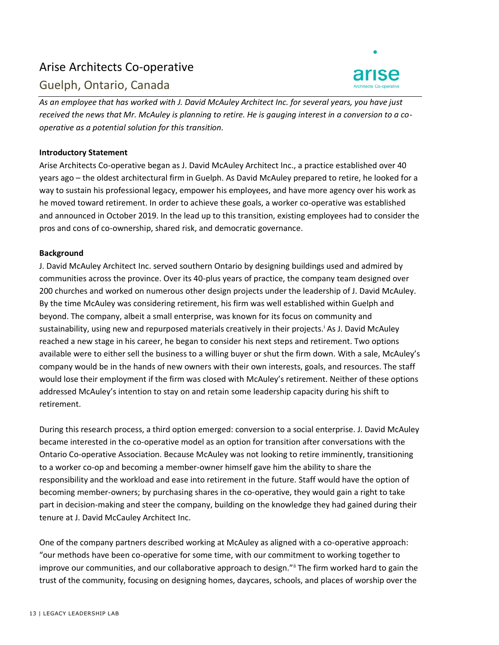# Arise Architects Co-operative





*As an employee that has worked with J. David McAuley Architect Inc. for several years, you have just received the news that Mr. McAuley is planning to retire. He is gauging interest in a conversion to a cooperative as a potential solution for this transition.* 

# **Introductory Statement**

Arise Architects Co-operative began as J. David McAuley Architect Inc., a practice established over 40 years ago – the oldest architectural firm in Guelph. As David McAuley prepared to retire, he looked for a way to sustain his professional legacy, empower his employees, and have more agency over his work as he moved toward retirement. In order to achieve these goals, a worker co-operative was established and announced in October 2019. In the lead up to this transition, existing employees had to consider the pros and cons of co-ownership, shared risk, and democratic governance.

# **Background**

J. David McAuley Architect Inc. served southern Ontario by designing buildings used and admired by communities across the province. Over its 40-plus years of practice, the company team designed over 200 churches and worked on numerous other design projects under the leadership of J. David McAuley. By the time McAuley was considering retirement, his firm was well established within Guelph and beyond. The company, albeit a small enterprise, was known for its focus on community and sustainability, using new and repurposed materials creatively in their projects.<sup>i</sup> As J. David McAuley reached a new stage in his career, he began to consider his next steps and retirement. Two options available were to either sell the business to a willing buyer or shut the firm down. With a sale, McAuley's company would be in the hands of new owners with their own interests, goals, and resources. The staff would lose their employment if the firm was closed with McAuley's retirement. Neither of these options addressed McAuley's intention to stay on and retain some leadership capacity during his shift to retirement.

During this research process, a third option emerged: conversion to a social enterprise. J. David McAuley became interested in the co-operative model as an option for transition after conversations with the Ontario Co-operative Association. Because McAuley was not looking to retire imminently, transitioning to a worker co-op and becoming a member-owner himself gave him the ability to share the responsibility and the workload and ease into retirement in the future. Staff would have the option of becoming member-owners; by purchasing shares in the co-operative, they would gain a right to take part in decision-making and steer the company, building on the knowledge they had gained during their tenure at J. David McCauley Architect Inc.

One of the company partners described working at McAuley as aligned with a co-operative approach: "our methods have been co-operative for some time, with our commitment to working together to improve our communities, and our collaborative approach to design." The firm worked hard to gain the trust of the community, focusing on designing homes, daycares, schools, and places of worship over the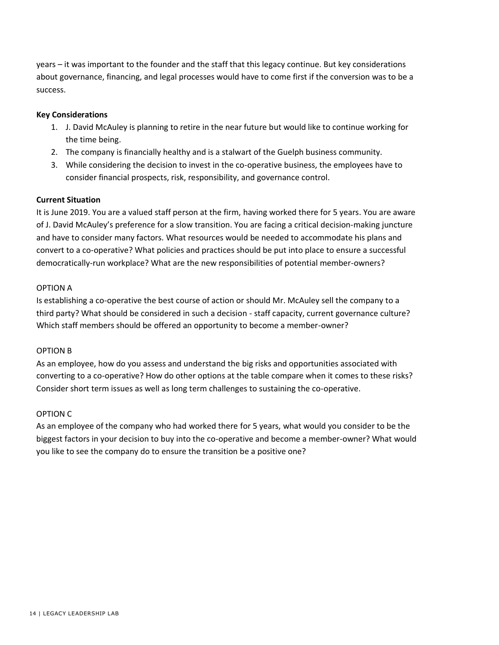years – it was important to the founder and the staff that this legacy continue. But key considerations about governance, financing, and legal processes would have to come first if the conversion was to be a success.

# **Key Considerations**

- 1. J. David McAuley is planning to retire in the near future but would like to continue working for the time being.
- 2. The company is financially healthy and is a stalwart of the Guelph business community.
- 3. While considering the decision to invest in the co-operative business, the employees have to consider financial prospects, risk, responsibility, and governance control.

# **Current Situation**

It is June 2019. You are a valued staff person at the firm, having worked there for 5 years. You are aware of J. David McAuley's preference for a slow transition. You are facing a critical decision-making juncture and have to consider many factors. What resources would be needed to accommodate his plans and convert to a co-operative? What policies and practices should be put into place to ensure a successful democratically-run workplace? What are the new responsibilities of potential member-owners?

# OPTION A

Is establishing a co-operative the best course of action or should Mr. McAuley sell the company to a third party? What should be considered in such a decision - staff capacity, current governance culture? Which staff members should be offered an opportunity to become a member-owner?

# OPTION B

As an employee, how do you assess and understand the big risks and opportunities associated with converting to a co-operative? How do other options at the table compare when it comes to these risks? Consider short term issues as well as long term challenges to sustaining the co-operative.

# OPTION C

As an employee of the company who had worked there for 5 years, what would you consider to be the biggest factors in your decision to buy into the co-operative and become a member-owner? What would you like to see the company do to ensure the transition be a positive one?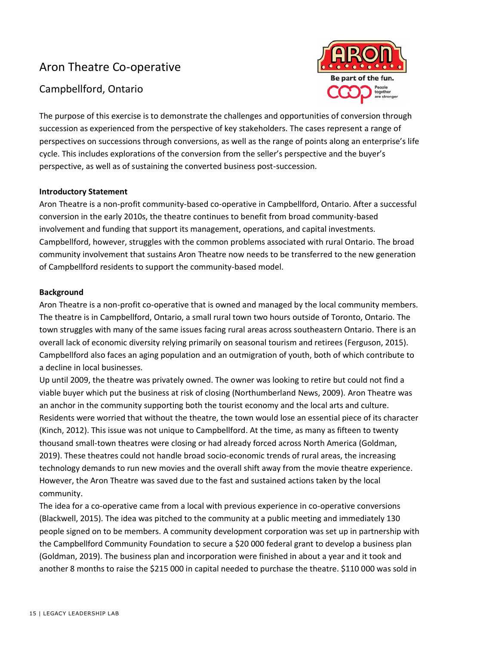# Aron Theatre Co-operative

# Campbellford, Ontario



The purpose of this exercise is to demonstrate the challenges and opportunities of conversion through succession as experienced from the perspective of key stakeholders. The cases represent a range of perspectives on successions through conversions, as well as the range of points along an enterprise's life cycle. This includes explorations of the conversion from the seller's perspective and the buyer's perspective, as well as of sustaining the converted business post-succession.

# **Introductory Statement**

Aron Theatre is a non-profit community-based co-operative in Campbellford, Ontario. After a successful conversion in the early 2010s, the theatre continues to benefit from broad community-based involvement and funding that support its management, operations, and capital investments. Campbellford, however, struggles with the common problems associated with rural Ontario. The broad community involvement that sustains Aron Theatre now needs to be transferred to the new generation of Campbellford residents to support the community-based model.

# **Background**

Aron Theatre is a non-profit co-operative that is owned and managed by the local community members. The theatre is in Campbellford, Ontario, a small rural town two hours outside of Toronto, Ontario. The town struggles with many of the same issues facing rural areas across southeastern Ontario. There is an overall lack of economic diversity relying primarily on seasonal tourism and retirees (Ferguson, 2015). Campbellford also faces an aging population and an outmigration of youth, both of which contribute to a decline in local businesses.

Up until 2009, the theatre was privately owned. The owner was looking to retire but could not find a viable buyer which put the business at risk of closing (Northumberland News, 2009). Aron Theatre was an anchor in the community supporting both the tourist economy and the local arts and culture. Residents were worried that without the theatre, the town would lose an essential piece of its character (Kinch, 2012). This issue was not unique to Campbellford. At the time, as many as fifteen to twenty thousand small-town theatres were closing or had already forced across North America (Goldman, 2019). These theatres could not handle broad socio-economic trends of rural areas, the increasing technology demands to run new movies and the overall shift away from the movie theatre experience. However, the Aron Theatre was saved due to the fast and sustained actions taken by the local community.

The idea for a co-operative came from a local with previous experience in co-operative conversions (Blackwell, 2015). The idea was pitched to the community at a public meeting and immediately 130 people signed on to be members. A community development corporation was set up in partnership with the Campbellford Community Foundation to secure a \$20 000 federal grant to develop a business plan (Goldman, 2019). The business plan and incorporation were finished in about a year and it took and another 8 months to raise the \$215 000 in capital needed to purchase the theatre. \$110 000 was sold in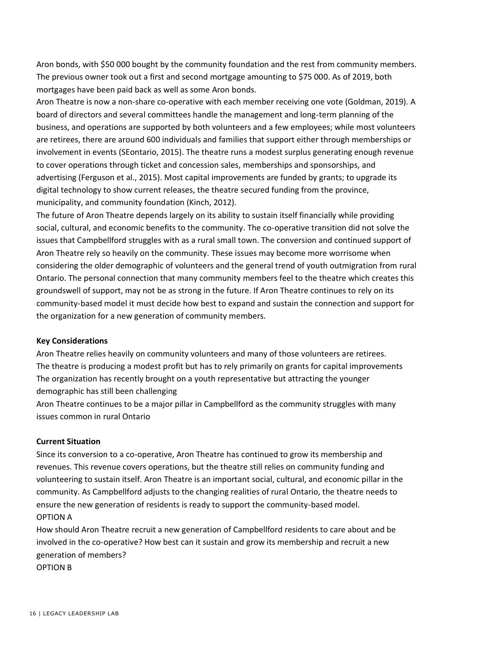Aron bonds, with \$50 000 bought by the community foundation and the rest from community members. The previous owner took out a first and second mortgage amounting to \$75 000. As of 2019, both mortgages have been paid back as well as some Aron bonds.

Aron Theatre is now a non-share co-operative with each member receiving one vote (Goldman, 2019). A board of directors and several committees handle the management and long-term planning of the business, and operations are supported by both volunteers and a few employees; while most volunteers are retirees, there are around 600 individuals and families that support either through memberships or involvement in events (SEontario, 2015). The theatre runs a modest surplus generating enough revenue to cover operations through ticket and concession sales, memberships and sponsorships, and advertising (Ferguson et al., 2015). Most capital improvements are funded by grants; to upgrade its digital technology to show current releases, the theatre secured funding from the province, municipality, and community foundation (Kinch, 2012).

The future of Aron Theatre depends largely on its ability to sustain itself financially while providing social, cultural, and economic benefits to the community. The co-operative transition did not solve the issues that Campbellford struggles with as a rural small town. The conversion and continued support of Aron Theatre rely so heavily on the community. These issues may become more worrisome when considering the older demographic of volunteers and the general trend of youth outmigration from rural Ontario. The personal connection that many community members feel to the theatre which creates this groundswell of support, may not be as strong in the future. If Aron Theatre continues to rely on its community-based model it must decide how best to expand and sustain the connection and support for the organization for a new generation of community members.

# **Key Considerations**

Aron Theatre relies heavily on community volunteers and many of those volunteers are retirees. The theatre is producing a modest profit but has to rely primarily on grants for capital improvements The organization has recently brought on a youth representative but attracting the younger demographic has still been challenging

Aron Theatre continues to be a major pillar in Campbellford as the community struggles with many issues common in rural Ontario

# **Current Situation**

Since its conversion to a co-operative, Aron Theatre has continued to grow its membership and revenues. This revenue covers operations, but the theatre still relies on community funding and volunteering to sustain itself. Aron Theatre is an important social, cultural, and economic pillar in the community. As Campbellford adjusts to the changing realities of rural Ontario, the theatre needs to ensure the new generation of residents is ready to support the community-based model. OPTION A

How should Aron Theatre recruit a new generation of Campbellford residents to care about and be involved in the co-operative? How best can it sustain and grow its membership and recruit a new generation of members?

OPTION B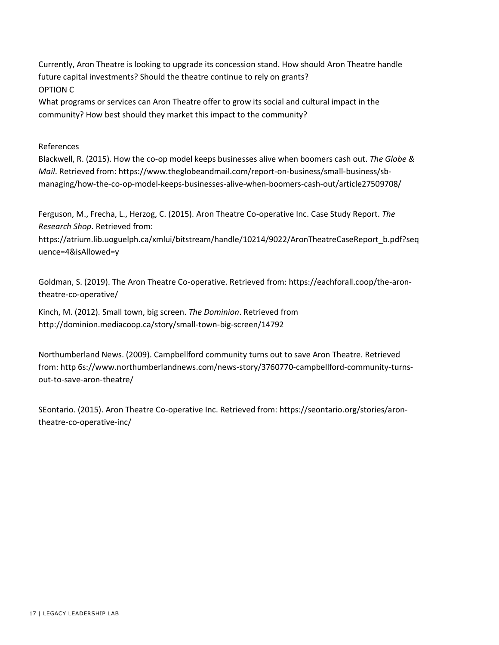Currently, Aron Theatre is looking to upgrade its concession stand. How should Aron Theatre handle future capital investments? Should the theatre continue to rely on grants? OPTION C

What programs or services can Aron Theatre offer to grow its social and cultural impact in the community? How best should they market this impact to the community?

References

Blackwell, R. (2015). How the co-op model keeps businesses alive when boomers cash out. *The Globe & Mail*. Retrieved from: https://www.theglobeandmail.com/report-on-business/small-business/sbmanaging/how-the-co-op-model-keeps-businesses-alive-when-boomers-cash-out/article27509708/

Ferguson, M., Frecha, L., Herzog, C. (2015). Aron Theatre Co-operative Inc. Case Study Report. *The Research Shop*. Retrieved from:

https://atrium.lib.uoguelph.ca/xmlui/bitstream/handle/10214/9022/AronTheatreCaseReport\_b.pdf?seq uence=4&isAllowed=y

Goldman, S. (2019). The Aron Theatre Co-operative. Retrieved from: https://eachforall.coop/the-arontheatre-co-operative/

Kinch, M. (2012). Small town, big screen. *The Dominion*. Retrieved from http://dominion.mediacoop.ca/story/small-town-big-screen/14792

Northumberland News. (2009). Campbellford community turns out to save Aron Theatre. Retrieved from: http 6s://www.northumberlandnews.com/news-story/3760770-campbellford-community-turnsout-to-save-aron-theatre/

SEontario. (2015). Aron Theatre Co-operative Inc. Retrieved from: https://seontario.org/stories/arontheatre-co-operative-inc/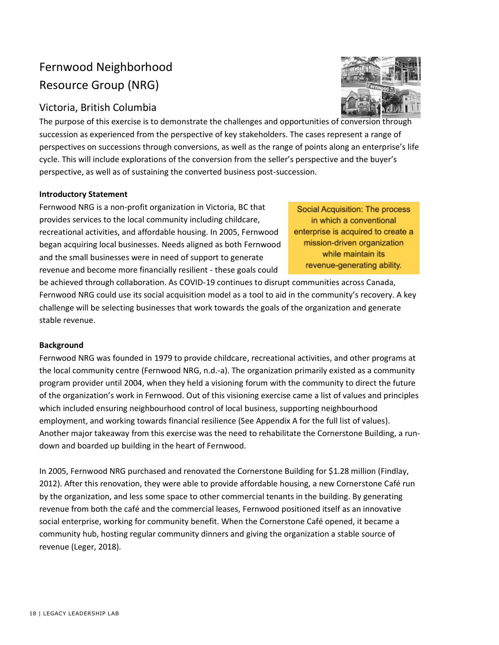# Fernwood Neighborhood Resource Group (NRG)

# Victoria, British Columbia



The purpose of this exercise is to demonstrate the challenges and opportunities of conversion through succession as experienced from the perspective of key stakeholders. The cases represent a range of perspectives on successions through conversions, as well as the range of points along an enterprise's life cycle. This will include explorations of the conversion from the seller's perspective and the buyer's perspective, as well as of sustaining the converted business post-succession.

# **Introductory Statement**

Fernwood NRG is a non-profit organization in Victoria, BC that provides services to the local community including childcare, recreational activities, and affordable housing. In 2005, Fernwood began acquiring local businesses. Needs aligned as both Fernwood and the small businesses were in need of support to generate revenue and become more financially resilient - these goals could

Social Acquisition: The process in which a conventional enterprise is acquired to create a mission-driven organization while maintain its revenue-generating ability.

be achieved through collaboration. As COVID-19 continues to disrupt communities across Canada, Fernwood NRG could use its social acquisition model as a tool to aid in the community's recovery. A key challenge will be selecting businesses that work towards the goals of the organization and generate stable revenue.

# **Background**

Fernwood NRG was founded in 1979 to provide childcare, recreational activities, and other programs at the local community centre (Fernwood NRG, n.d.-a). The organization primarily existed as a community program provider until 2004, when they held a visioning forum with the community to direct the future of the organization's work in Fernwood. Out of this visioning exercise came a list of values and principles which included ensuring neighbourhood control of local business, supporting neighbourhood employment, and working towards financial resilience (See Appendix A for the full list of values). Another major takeaway from this exercise was the need to rehabilitate the Cornerstone Building, a rundown and boarded up building in the heart of Fernwood.

In 2005, Fernwood NRG purchased and renovated the Cornerstone Building for \$1.28 million (Findlay, 2012). After this renovation, they were able to provide affordable housing, a new Cornerstone Café run by the organization, and less some space to other commercial tenants in the building. By generating revenue from both the café and the commercial leases, Fernwood positioned itself as an innovative social enterprise, working for community benefit. When the Cornerstone Café opened, it became a community hub, hosting regular community dinners and giving the organization a stable source of revenue (Leger, 2018).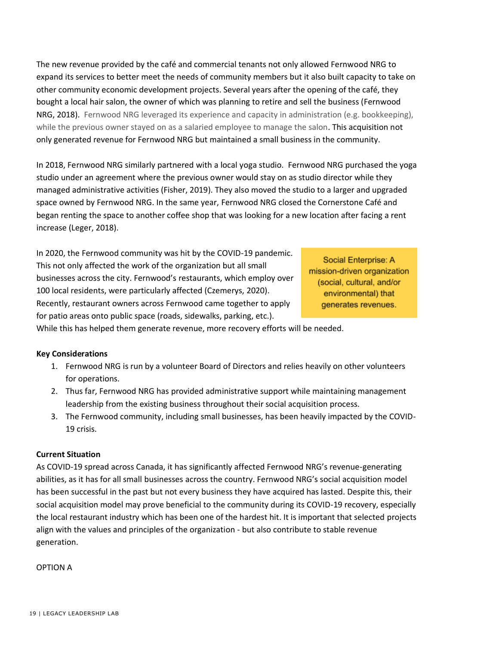The new revenue provided by the café and commercial tenants not only allowed Fernwood NRG to expand its services to better meet the needs of community members but it also built capacity to take on other community economic development projects. Several years after the opening of the café, they bought a local hair salon, the owner of which was planning to retire and sell the business (Fernwood NRG, 2018). Fernwood NRG leveraged its experience and capacity in administration (e.g. bookkeeping), while the previous owner stayed on as a salaried employee to manage the salon. This acquisition not only generated revenue for Fernwood NRG but maintained a small business in the community.

In 2018, Fernwood NRG similarly partnered with a local yoga studio. Fernwood NRG purchased the yoga studio under an agreement where the previous owner would stay on as studio director while they managed administrative activities (Fisher, 2019). They also moved the studio to a larger and upgraded space owned by Fernwood NRG. In the same year, Fernwood NRG closed the Cornerstone Café and began renting the space to another coffee shop that was looking for a new location after facing a rent increase (Leger, 2018).

In 2020, the Fernwood community was hit by the COVID-19 pandemic. This not only affected the work of the organization but all small businesses across the city. Fernwood's restaurants, which employ over 100 local residents, were particularly affected (Czemerys, 2020). Recently, restaurant owners across Fernwood came together to apply for patio areas onto public space (roads, sidewalks, parking, etc.).

Social Enterprise: A mission-driven organization (social, cultural, and/or environmental) that generates revenues.

While this has helped them generate revenue, more recovery efforts will be needed.

# **Key Considerations**

- 1. Fernwood NRG is run by a volunteer Board of Directors and relies heavily on other volunteers for operations.
- 2. Thus far, Fernwood NRG has provided administrative support while maintaining management leadership from the existing business throughout their social acquisition process.
- 3. The Fernwood community, including small businesses, has been heavily impacted by the COVID-19 crisis.

# **Current Situation**

As COVID-19 spread across Canada, it has significantly affected Fernwood NRG's revenue-generating abilities, as it has for all small businesses across the country. Fernwood NRG's social acquisition model has been successful in the past but not every business they have acquired has lasted. Despite this, their social acquisition model may prove beneficial to the community during its COVID-19 recovery, especially the local restaurant industry which has been one of the hardest hit. It is important that selected projects align with the values and principles of the organization - but also contribute to stable revenue generation.

OPTION A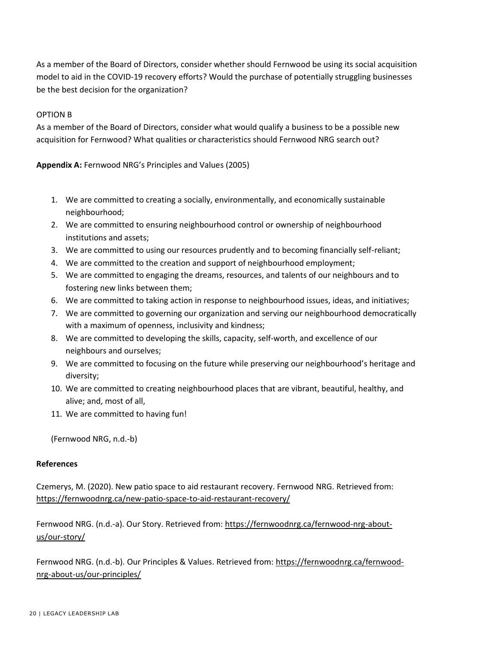As a member of the Board of Directors, consider whether should Fernwood be using its social acquisition model to aid in the COVID-19 recovery efforts? Would the purchase of potentially struggling businesses be the best decision for the organization?

# OPTION B

As a member of the Board of Directors, consider what would qualify a business to be a possible new acquisition for Fernwood? What qualities or characteristics should Fernwood NRG search out?

**Appendix A:** Fernwood NRG's Principles and Values (2005)

- 1. We are committed to creating a socially, environmentally, and economically sustainable neighbourhood;
- 2. We are committed to ensuring neighbourhood control or ownership of neighbourhood institutions and assets;
- 3. We are committed to using our resources prudently and to becoming financially self-reliant;
- 4. We are committed to the creation and support of neighbourhood employment;
- 5. We are committed to engaging the dreams, resources, and talents of our neighbours and to fostering new links between them;
- 6. We are committed to taking action in response to neighbourhood issues, ideas, and initiatives;
- 7. We are committed to governing our organization and serving our neighbourhood democratically with a maximum of openness, inclusivity and kindness;
- 8. We are committed to developing the skills, capacity, self-worth, and excellence of our neighbours and ourselves;
- 9. We are committed to focusing on the future while preserving our neighbourhood's heritage and diversity;
- 10. We are committed to creating neighbourhood places that are vibrant, beautiful, healthy, and alive; and, most of all,
- 11. We are committed to having fun!

(Fernwood NRG, n.d.-b)

# **References**

Czemerys, M. (2020). New patio space to aid restaurant recovery. Fernwood NRG. Retrieved from: https://fernwoodnrg.ca/new-patio-space-to-aid-restaurant-recovery/

Fernwood NRG. (n.d.-a). Our Story. Retrieved from: https://fernwoodnrg.ca/fernwood-nrg-aboutus/our-story/

Fernwood NRG. (n.d.-b). Our Principles & Values. Retrieved from: https://fernwoodnrg.ca/fernwoodnrg-about-us/our-principles/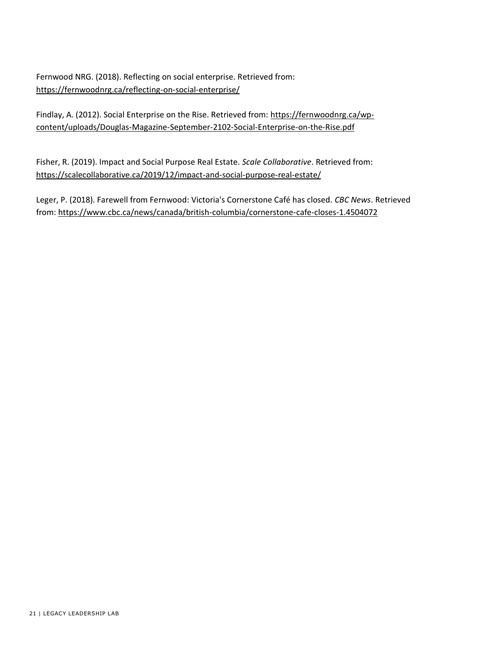Fernwood NRG. (2018). Reflecting on social enterprise. Retrieved from: https://fernwoodnrg.ca/reflecting-on-social-enterprise/

Findlay, A. (2012). Social Enterprise on the Rise. Retrieved from: https://fernwoodnrg.ca/wpcontent/uploads/Douglas-Magazine-September-2102-Social-Enterprise-on-the-Rise.pdf

Fisher, R. (2019). Impact and Social Purpose Real Estate. *Scale Collaborative*. Retrieved from: https://scalecollaborative.ca/2019/12/impact-and-social-purpose-real-estate/

Leger, P. (2018). Farewell from Fernwood: Victoria's Cornerstone Café has closed. *CBC News*. Retrieved from: https://www.cbc.ca/news/canada/british-columbia/cornerstone-cafe-closes-1.4504072